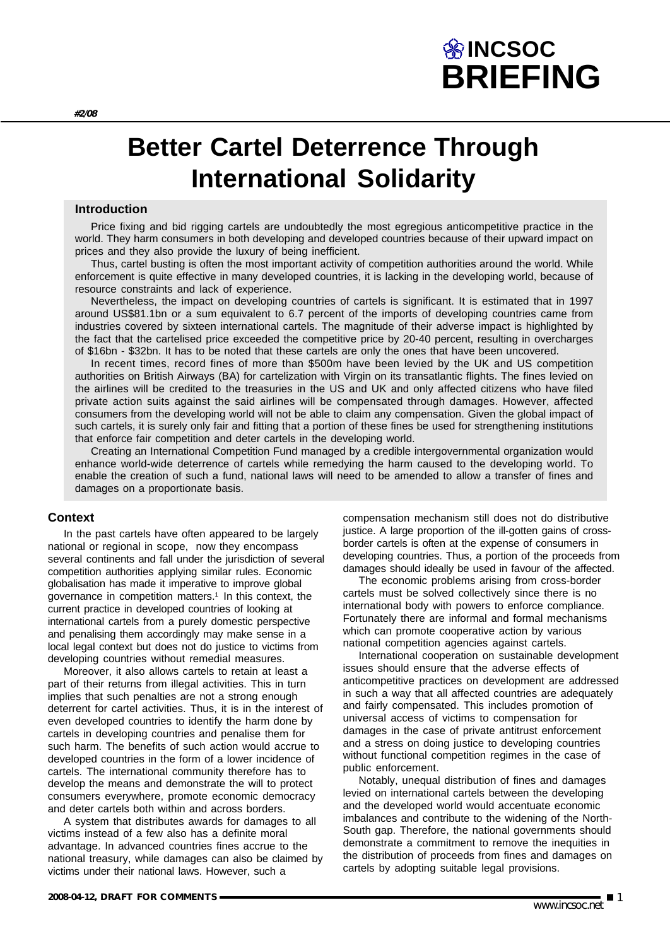# **BRIEFING INCSOC**

# **Better Cartel Deterrence Through International Solidarity**

### **Introduction**

Price fixing and bid rigging cartels are undoubtedly the most egregious anticompetitive practice in the world. They harm consumers in both developing and developed countries because of their upward impact on prices and they also provide the luxury of being inefficient.

Thus, cartel busting is often the most important activity of competition authorities around the world. While enforcement is quite effective in many developed countries, it is lacking in the developing world, because of resource constraints and lack of experience.

Nevertheless, the impact on developing countries of cartels is significant. It is estimated that in 1997 around US\$81.1bn or a sum equivalent to 6.7 percent of the imports of developing countries came from industries covered by sixteen international cartels. The magnitude of their adverse impact is highlighted by the fact that the cartelised price exceeded the competitive price by 20-40 percent, resulting in overcharges of \$16bn - \$32bn. It has to be noted that these cartels are only the ones that have been uncovered.

In recent times, record fines of more than \$500m have been levied by the UK and US competition authorities on British Airways (BA) for cartelization with Virgin on its transatlantic flights. The fines levied on the airlines will be credited to the treasuries in the US and UK and only affected citizens who have filed private action suits against the said airlines will be compensated through damages. However, affected consumers from the developing world will not be able to claim any compensation. Given the global impact of such cartels, it is surely only fair and fitting that a portion of these fines be used for strengthening institutions that enforce fair competition and deter cartels in the developing world.

Creating an International Competition Fund managed by a credible intergovernmental organization would enhance world-wide deterrence of cartels while remedying the harm caused to the developing world. To enable the creation of such a fund, national laws will need to be amended to allow a transfer of fines and damages on a proportionate basis.

### **Context**

In the past cartels have often appeared to be largely national or regional in scope, now they encompass several continents and fall under the jurisdiction of several competition authorities applying similar rules. Economic globalisation has made it imperative to improve global governance in competition matters.<sup>1</sup> In this context, the current practice in developed countries of looking at international cartels from a purely domestic perspective and penalising them accordingly may make sense in a local legal context but does not do justice to victims from developing countries without remedial measures.

Moreover, it also allows cartels to retain at least a part of their returns from illegal activities. This in turn implies that such penalties are not a strong enough deterrent for cartel activities. Thus, it is in the interest of even developed countries to identify the harm done by cartels in developing countries and penalise them for such harm. The benefits of such action would accrue to developed countries in the form of a lower incidence of cartels. The international community therefore has to develop the means and demonstrate the will to protect consumers everywhere, promote economic democracy and deter cartels both within and across borders.

A system that distributes awards for damages to all victims instead of a few also has a definite moral advantage. In advanced countries fines accrue to the national treasury, while damages can also be claimed by victims under their national laws. However, such a

compensation mechanism still does not do distributive justice. A large proportion of the ill-gotten gains of crossborder cartels is often at the expense of consumers in developing countries. Thus, a portion of the proceeds from damages should ideally be used in favour of the affected.

The economic problems arising from cross-border cartels must be solved collectively since there is no international body with powers to enforce compliance. Fortunately there are informal and formal mechanisms which can promote cooperative action by various national competition agencies against cartels.

International cooperation on sustainable development issues should ensure that the adverse effects of anticompetitive practices on development are addressed in such a way that all affected countries are adequately and fairly compensated. This includes promotion of universal access of victims to compensation for damages in the case of private antitrust enforcement and a stress on doing justice to developing countries without functional competition regimes in the case of public enforcement.

Notably, unequal distribution of fines and damages levied on international cartels between the developing and the developed world would accentuate economic imbalances and contribute to the widening of the North-South gap. Therefore, the national governments should demonstrate a commitment to remove the inequities in the distribution of proceeds from fines and damages on cartels by adopting suitable legal provisions.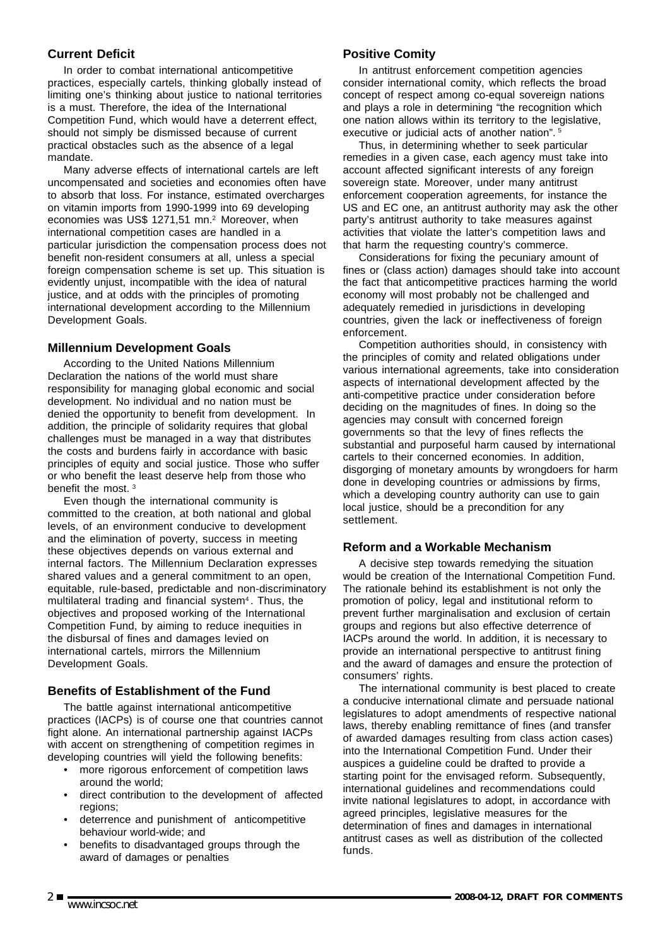## **Current Deficit**

In order to combat international anticompetitive practices, especially cartels, thinking globally instead of limiting one's thinking about justice to national territories is a must. Therefore, the idea of the International Competition Fund, which would have a deterrent effect, should not simply be dismissed because of current practical obstacles such as the absence of a legal mandate.

Many adverse effects of international cartels are left uncompensated and societies and economies often have to absorb that loss. For instance, estimated overcharges on vitamin imports from 1990-1999 into 69 developing economies was US\$ 1271,51 mn.<sup>2</sup> Moreover, when international competition cases are handled in a particular jurisdiction the compensation process does not benefit non-resident consumers at all, unless a special foreign compensation scheme is set up. This situation is evidently unjust, incompatible with the idea of natural justice, and at odds with the principles of promoting international development according to the Millennium Development Goals.

## **Millennium Development Goals**

According to the United Nations Millennium Declaration the nations of the world must share responsibility for managing global economic and social development. No individual and no nation must be denied the opportunity to benefit from development. In addition, the principle of solidarity requires that global challenges must be managed in a way that distributes the costs and burdens fairly in accordance with basic principles of equity and social justice. Those who suffer or who benefit the least deserve help from those who benefit the most. 3

Even though the international community is committed to the creation, at both national and global levels, of an environment conducive to development and the elimination of poverty, success in meeting these objectives depends on various external and internal factors. The Millennium Declaration expresses shared values and a general commitment to an open, equitable, rule-based, predictable and non-discriminatory multilateral trading and financial system<sup>4</sup>. Thus, the objectives and proposed working of the International Competition Fund, by aiming to reduce inequities in the disbursal of fines and damages levied on international cartels, mirrors the Millennium Development Goals.

## **Benefits of Establishment of the Fund**

The battle against international anticompetitive practices (IACPs) is of course one that countries cannot fight alone. An international partnership against IACPs with accent on strengthening of competition regimes in developing countries will yield the following benefits:

- more rigorous enforcement of competition laws around the world;
- direct contribution to the development of affected regions;
- deterrence and punishment of anticompetitive behaviour world-wide; and
- benefits to disadvantaged groups through the award of damages or penalties

## **Positive Comity**

In antitrust enforcement competition agencies consider international comity, which reflects the broad concept of respect among co-equal sovereign nations and plays a role in determining "the recognition which one nation allows within its territory to the legislative, executive or judicial acts of another nation".<sup>5</sup>

Thus, in determining whether to seek particular remedies in a given case, each agency must take into account affected significant interests of any foreign sovereign state. Moreover, under many antitrust enforcement cooperation agreements, for instance the US and EC one, an antitrust authority may ask the other party's antitrust authority to take measures against activities that violate the latter's competition laws and that harm the requesting country's commerce.

Considerations for fixing the pecuniary amount of fines or (class action) damages should take into account the fact that anticompetitive practices harming the world economy will most probably not be challenged and adequately remedied in jurisdictions in developing countries, given the lack or ineffectiveness of foreign enforcement.

Competition authorities should, in consistency with the principles of comity and related obligations under various international agreements, take into consideration aspects of international development affected by the anti-competitive practice under consideration before deciding on the magnitudes of fines. In doing so the agencies may consult with concerned foreign governments so that the levy of fines reflects the substantial and purposeful harm caused by international cartels to their concerned economies. In addition, disgorging of monetary amounts by wrongdoers for harm done in developing countries or admissions by firms, which a developing country authority can use to gain local justice, should be a precondition for any settlement.

## **Reform and a Workable Mechanism**

A decisive step towards remedying the situation would be creation of the International Competition Fund. The rationale behind its establishment is not only the promotion of policy, legal and institutional reform to prevent further marginalisation and exclusion of certain groups and regions but also effective deterrence of IACPs around the world. In addition, it is necessary to provide an international perspective to antitrust fining and the award of damages and ensure the protection of consumers' rights.

The international community is best placed to create a conducive international climate and persuade national legislatures to adopt amendments of respective national laws, thereby enabling remittance of fines (and transfer of awarded damages resulting from class action cases) into the International Competition Fund. Under their auspices a guideline could be drafted to provide a starting point for the envisaged reform. Subsequently, international guidelines and recommendations could invite national legislatures to adopt, in accordance with agreed principles, legislative measures for the determination of fines and damages in international antitrust cases as well as distribution of the collected funds.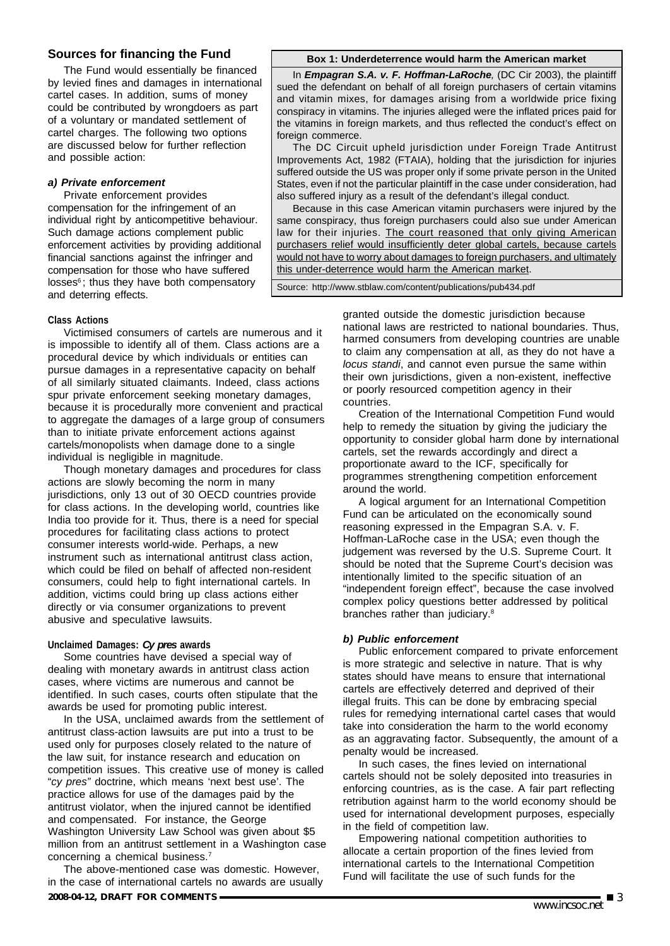## **Sources for financing the Fund**

The Fund would essentially be financed by levied fines and damages in international cartel cases. In addition, sums of money could be contributed by wrongdoers as part of a voluntary or mandated settlement of cartel charges. The following two options are discussed below for further reflection and possible action:

#### *a) Private enforcement*

Private enforcement provides compensation for the infringement of an individual right by anticompetitive behaviour. Such damage actions complement public enforcement activities by providing additional financial sanctions against the infringer and compensation for those who have suffered losses<sup>6</sup>; thus they have both compensatory and deterring effects.

#### **Box 1: Underdeterrence would harm the American market**

In *Empagran S.A. v. F. Hoffman-LaRoche,* (DC Cir 2003), the plaintiff sued the defendant on behalf of all foreign purchasers of certain vitamins and vitamin mixes, for damages arising from a worldwide price fixing conspiracy in vitamins. The injuries alleged were the inflated prices paid for the vitamins in foreign markets, and thus reflected the conduct's effect on foreign commerce.

The DC Circuit upheld jurisdiction under Foreign Trade Antitrust Improvements Act, 1982 (FTAIA), holding that the jurisdiction for injuries suffered outside the US was proper only if some private person in the United States, even if not the particular plaintiff in the case under consideration, had also suffered injury as a result of the defendant's illegal conduct.

Because in this case American vitamin purchasers were injured by the same conspiracy, thus foreign purchasers could also sue under American law for their injuries. The court reasoned that only giving American purchasers relief would insufficiently deter global cartels, because cartels would not have to worry about damages to foreign purchasers, and ultimately this under-deterrence would harm the American market.

Source: http://www.stblaw.com/content/publications/pub434.pdf

#### **Class Actions**

Victimised consumers of cartels are numerous and it is impossible to identify all of them. Class actions are a procedural device by which individuals or entities can pursue damages in a representative capacity on behalf of all similarly situated claimants. Indeed, class actions spur private enforcement seeking monetary damages, because it is procedurally more convenient and practical to aggregate the damages of a large group of consumers than to initiate private enforcement actions against cartels/monopolists when damage done to a single individual is negligible in magnitude.

Though monetary damages and procedures for class actions are slowly becoming the norm in many jurisdictions, only 13 out of 30 OECD countries provide for class actions. In the developing world, countries like India too provide for it. Thus, there is a need for special procedures for facilitating class actions to protect consumer interests world-wide. Perhaps, a new instrument such as international antitrust class action, which could be filed on behalf of affected non-resident consumers, could help to fight international cartels. In addition, victims could bring up class actions either directly or via consumer organizations to prevent abusive and speculative lawsuits.

#### **Unclaimed Damages:** *Cy pres* **awards**

Some countries have devised a special way of dealing with monetary awards in antitrust class action cases, where victims are numerous and cannot be identified. In such cases, courts often stipulate that the awards be used for promoting public interest.

In the USA, unclaimed awards from the settlement of antitrust class-action lawsuits are put into a trust to be used only for purposes closely related to the nature of the law suit, for instance research and education on competition issues. This creative use of money is called "*cy pres"* doctrine, which means 'next best use'. The practice allows for use of the damages paid by the antitrust violator, when the injured cannot be identified and compensated. For instance, the George Washington University Law School was given about \$5 million from an antitrust settlement in a Washington case concerning a chemical business.7

**2008-04-12, DRAFT FOR COMMENTS** ■ 3 **www.incsoc.net** The above-mentioned case was domestic. However, in the case of international cartels no awards are usually

granted outside the domestic jurisdiction because national laws are restricted to national boundaries. Thus, harmed consumers from developing countries are unable to claim any compensation at all, as they do not have a *locus standi*, and cannot even pursue the same within their own jurisdictions, given a non-existent, ineffective or poorly resourced competition agency in their countries.

Creation of the International Competition Fund would help to remedy the situation by giving the judiciary the opportunity to consider global harm done by international cartels, set the rewards accordingly and direct a proportionate award to the ICF, specifically for programmes strengthening competition enforcement around the world.

A logical argument for an International Competition Fund can be articulated on the economically sound reasoning expressed in the Empagran S.A. v. F. Hoffman-LaRoche case in the USA; even though the judgement was reversed by the U.S. Supreme Court. It should be noted that the Supreme Court's decision was intentionally limited to the specific situation of an "independent foreign effect", because the case involved complex policy questions better addressed by political branches rather than judiciary.<sup>8</sup>

#### *b) Public enforcement*

Public enforcement compared to private enforcement is more strategic and selective in nature. That is why states should have means to ensure that international cartels are effectively deterred and deprived of their illegal fruits. This can be done by embracing special rules for remedying international cartel cases that would take into consideration the harm to the world economy as an aggravating factor. Subsequently, the amount of a penalty would be increased.

In such cases, the fines levied on international cartels should not be solely deposited into treasuries in enforcing countries, as is the case. A fair part reflecting retribution against harm to the world economy should be used for international development purposes, especially in the field of competition law.

Empowering national competition authorities to allocate a certain proportion of the fines levied from international cartels to the International Competition Fund will facilitate the use of such funds for the